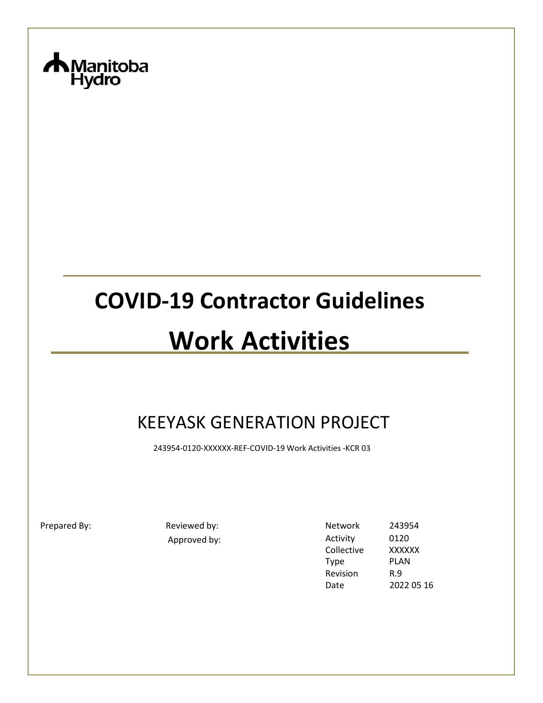

# **COVID-19 Contractor Guidelines**

# **Work Activities**

# KEEYASK GENERATION PROJECT

243954-0120-XXXXXX-REF-COVID-19 Work Activities -KCR 03

Prepared By: The Reviewed by: Network 243954 Approved by: Activity 0120<br>Collective XXXXXX Collective Type PLAN Revision Date R.9 2022 05 16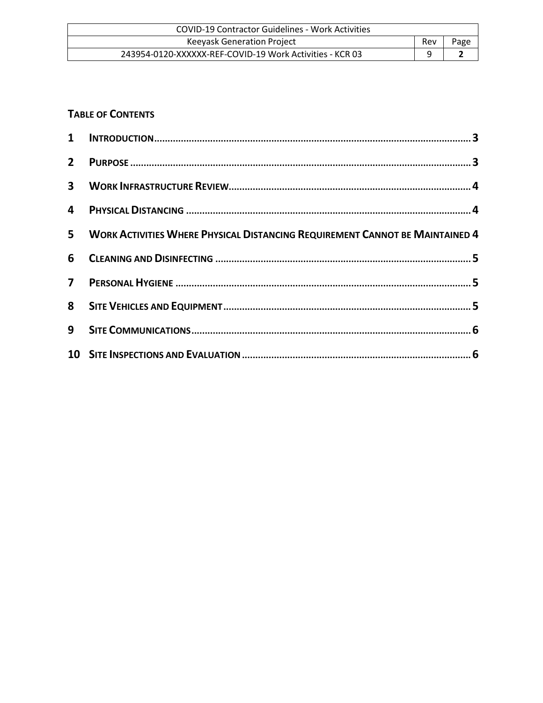| COVID-19 Contractor Guidelines - Work Activities         |     |      |
|----------------------------------------------------------|-----|------|
| <b>Keeyask Generation Project</b>                        | Rev | Page |
| 243954-0120-XXXXXX-REF-COVID-19 Work Activities - KCR 03 |     |      |

#### **TABLE OF CONTENTS**

| 5 WORK ACTIVITIES WHERE PHYSICAL DISTANCING REQUIREMENT CANNOT BE MAINTAINED 4 |  |
|--------------------------------------------------------------------------------|--|
|                                                                                |  |
|                                                                                |  |
|                                                                                |  |
|                                                                                |  |
|                                                                                |  |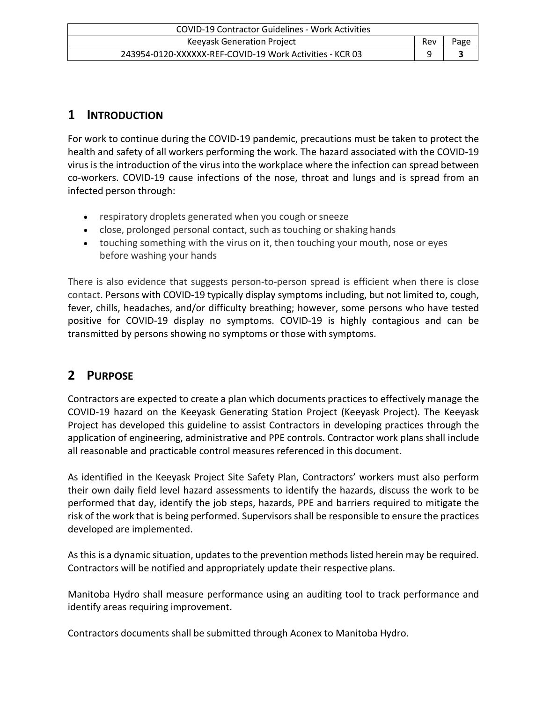| COVID-19 Contractor Guidelines - Work Activities         |     |      |
|----------------------------------------------------------|-----|------|
| <b>Keeyask Generation Project</b>                        | Rev | Page |
| 243954-0120-XXXXXX-REF-COVID-19 Work Activities - KCR 03 |     |      |

#### <span id="page-2-0"></span>**1 INTRODUCTION**

For work to continue during the COVID-19 pandemic, precautions must be taken to protect the health and safety of all workers performing the work. The hazard associated with the COVID-19 virus is the introduction of the virus into the workplace where the infection can spread between co-workers. COVID-19 cause infections of the nose, throat and lungs and is spread from an infected person through:

- respiratory droplets generated when you cough or sneeze
- close, prolonged personal contact, such as touching or shaking hands
- touching something with the virus on it, then touching your mouth, nose or eyes before washing your hands

There is also evidence that suggests person-to-person spread is efficient when there is close contact. Persons with COVID-19 typically display symptoms including, but not limited to, cough, fever, chills, headaches, and/or difficulty breathing; however, some persons who have tested positive for COVID-19 display no symptoms. COVID-19 is highly contagious and can be transmitted by persons showing no symptoms or those with symptoms.

#### <span id="page-2-1"></span>**2 PURPOSE**

Contractors are expected to create a plan which documents practices to effectively manage the COVID-19 hazard on the Keeyask Generating Station Project (Keeyask Project). The Keeyask Project has developed this guideline to assist Contractors in developing practices through the application of engineering, administrative and PPE controls. Contractor work plans shall include all reasonable and practicable control measures referenced in this document.

As identified in the Keeyask Project Site Safety Plan, Contractors' workers must also perform their own daily field level hazard assessments to identify the hazards, discuss the work to be performed that day, identify the job steps, hazards, PPE and barriers required to mitigate the risk of the work that is being performed. Supervisors shall be responsible to ensure the practices developed are implemented.

As this is a dynamic situation, updates to the prevention methods listed herein may be required. Contractors will be notified and appropriately update their respective plans.

Manitoba Hydro shall measure performance using an auditing tool to track performance and identify areas requiring improvement.

Contractors documents shall be submitted through Aconex to Manitoba Hydro.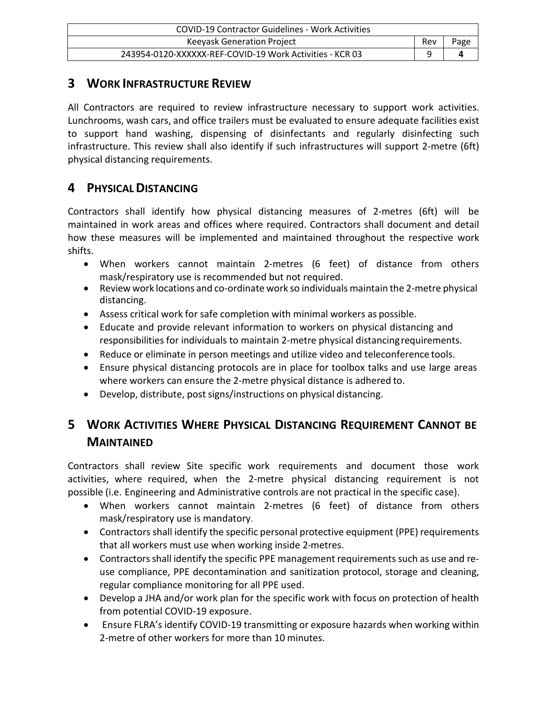| COVID-19 Contractor Guidelines - Work Activities         |     |      |
|----------------------------------------------------------|-----|------|
| <b>Keeyask Generation Project</b>                        | Rev | Page |
| 243954-0120-XXXXXX-REF-COVID-19 Work Activities - KCR 03 |     |      |

#### <span id="page-3-0"></span>**3 WORK INFRASTRUCTURE REVIEW**

All Contractors are required to review infrastructure necessary to support work activities. Lunchrooms, wash cars, and office trailers must be evaluated to ensure adequate facilities exist to support hand washing, dispensing of disinfectants and regularly disinfecting such infrastructure. This review shall also identify if such infrastructures will support 2-metre (6ft) physical distancing requirements.

#### <span id="page-3-1"></span>**4 PHYSICALDISTANCING**

Contractors shall identify how physical distancing measures of 2-metres (6ft) will be maintained in work areas and offices where required. Contractors shall document and detail how these measures will be implemented and maintained throughout the respective work shifts.

- When workers cannot maintain 2-metres (6 feet) of distance from others mask/respiratory use is recommended but not required.
- Review work locations and co-ordinate work so individuals maintain the 2-metre physical distancing.
- Assess critical work for safe completion with minimal workers as possible.
- Educate and provide relevant information to workers on physical distancing and responsibilities for individuals to maintain 2-metre physical distancingrequirements.
- Reduce or eliminate in person meetings and utilize video and teleconference tools.
- Ensure physical distancing protocols are in place for toolbox talks and use large areas where workers can ensure the 2-metre physical distance is adhered to.
- Develop, distribute, post signs/instructions on physical distancing.

### <span id="page-3-2"></span>**5 WORK ACTIVITIES WHERE PHYSICAL DISTANCING REQUIREMENT CANNOT BE MAINTAINED**

Contractors shall review Site specific work requirements and document those work activities, where required, when the 2-metre physical distancing requirement is not possible (i.e. Engineering and Administrative controls are not practical in the specific case).

- When workers cannot maintain 2-metres (6 feet) of distance from others mask/respiratory use is mandatory.
- Contractors shall identify the specific personal protective equipment (PPE) requirements that all workers must use when working inside 2-metres.
- Contractors shall identify the specific PPE management requirements such as use and reuse compliance, PPE decontamination and sanitization protocol, storage and cleaning, regular compliance monitoring for all PPE used.
- Develop a JHA and/or work plan for the specific work with focus on protection of health from potential COVID-19 exposure.
- Ensure FLRA's identify COVID-19 transmitting or exposure hazards when working within 2-metre of other workers for more than 10 minutes.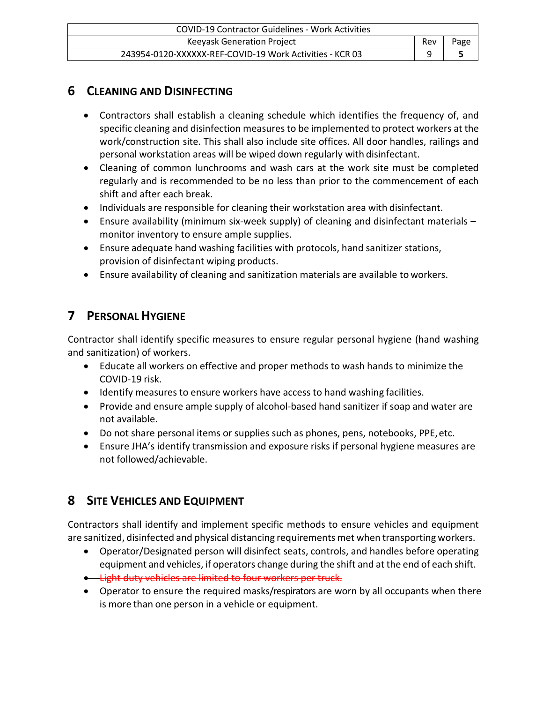| <b>COVID-19 Contractor Guidelines - Work Activities</b>  |     |      |
|----------------------------------------------------------|-----|------|
| Keeyask Generation Project                               | Rev | Page |
| 243954-0120-XXXXXX-REF-COVID-19 Work Activities - KCR 03 |     |      |

#### <span id="page-4-0"></span>**6 CLEANING AND DISINFECTING**

- Contractors shall establish a cleaning schedule which identifies the frequency of, and specific cleaning and disinfection measures to be implemented to protect workers at the work/construction site. This shall also include site offices. All door handles, railings and personal workstation areas will be wiped down regularly with disinfectant.
- Cleaning of common lunchrooms and wash cars at the work site must be completed regularly and is recommended to be no less than prior to the commencement of each shift and after each break.
- Individuals are responsible for cleaning their workstation area with disinfectant.
- Ensure availability (minimum six-week supply) of cleaning and disinfectant materials monitor inventory to ensure ample supplies.
- Ensure adequate hand washing facilities with protocols, hand sanitizer stations, provision of disinfectant wiping products.
- Ensure availability of cleaning and sanitization materials are available to workers.

### <span id="page-4-1"></span>**7 PERSONAL HYGIENE**

Contractor shall identify specific measures to ensure regular personal hygiene (hand washing and sanitization) of workers.

- Educate all workers on effective and proper methods to wash hands to minimize the COVID-19 risk.
- Identify measures to ensure workers have access to hand washing facilities.
- Provide and ensure ample supply of alcohol-based hand sanitizer if soap and water are not available.
- Do not share personal items or supplies such as phones, pens, notebooks, PPE,etc.
- Ensure JHA's identify transmission and exposure risks if personal hygiene measures are not followed/achievable.

## <span id="page-4-2"></span>**8 SITE VEHICLES AND EQUIPMENT**

Contractors shall identify and implement specific methods to ensure vehicles and equipment are sanitized, disinfected and physical distancing requirements met when transporting workers.

- Operator/Designated person will disinfect seats, controls, and handles before operating equipment and vehicles, if operators change during the shift and at the end of each shift.
- Light duty vehicles are limited to four workers per truck.
- Operator to ensure the required masks/respirators are worn by all occupants when there is more than one person in a vehicle or equipment.